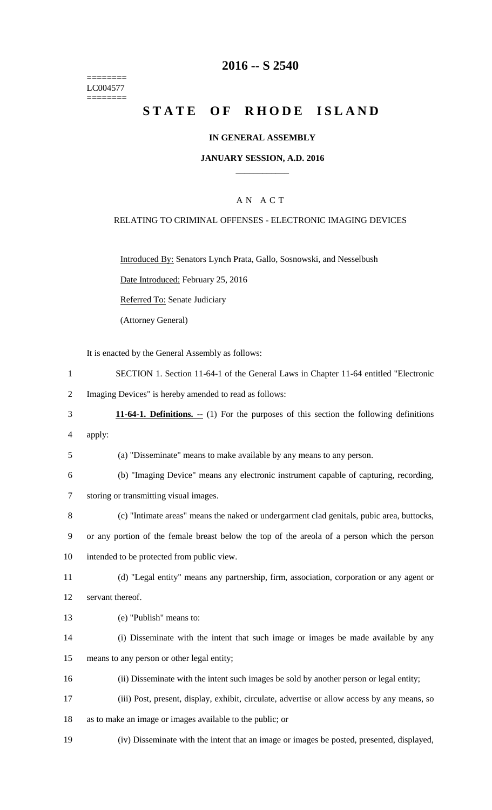======== LC004577 ========

### **2016 -- S 2540**

# **STATE OF RHODE ISLAND**

### **IN GENERAL ASSEMBLY**

#### **JANUARY SESSION, A.D. 2016 \_\_\_\_\_\_\_\_\_\_\_\_**

### A N A C T

### RELATING TO CRIMINAL OFFENSES - ELECTRONIC IMAGING DEVICES

Introduced By: Senators Lynch Prata, Gallo, Sosnowski, and Nesselbush

Date Introduced: February 25, 2016

Referred To: Senate Judiciary

(Attorney General)

It is enacted by the General Assembly as follows:

1 SECTION 1. Section 11-64-1 of the General Laws in Chapter 11-64 entitled "Electronic

2 Imaging Devices" is hereby amended to read as follows:

- 3 **11-64-1. Definitions. --** (1) For the purposes of this section the following definitions
- 4 apply:

5 (a) "Disseminate" means to make available by any means to any person.

- 6 (b) "Imaging Device" means any electronic instrument capable of capturing, recording, 7 storing or transmitting visual images.
- 8 (c) "Intimate areas" means the naked or undergarment clad genitals, pubic area, buttocks,
- 9 or any portion of the female breast below the top of the areola of a person which the person

10 intended to be protected from public view.

11 (d) "Legal entity" means any partnership, firm, association, corporation or any agent or 12 servant thereof.

- 13 (e) "Publish" means to:
- 14 (i) Disseminate with the intent that such image or images be made available by any 15 means to any person or other legal entity;
- 16 (ii) Disseminate with the intent such images be sold by another person or legal entity;
- 17 (iii) Post, present, display, exhibit, circulate, advertise or allow access by any means, so
- 18 as to make an image or images available to the public; or
- 19 (iv) Disseminate with the intent that an image or images be posted, presented, displayed,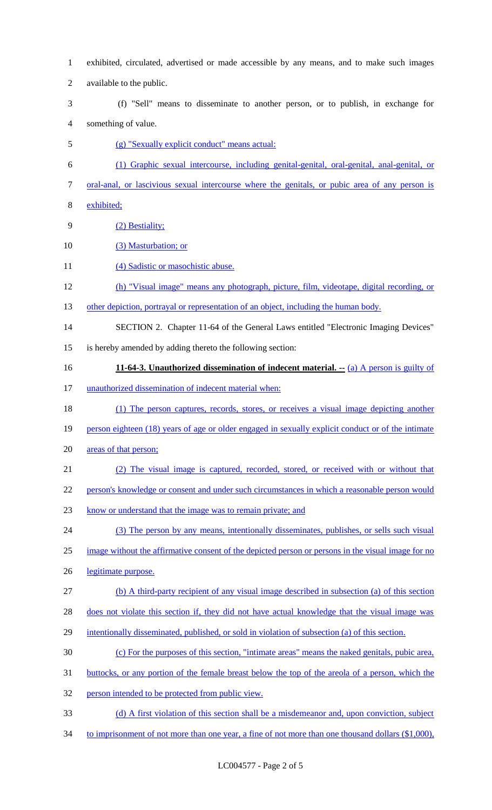- exhibited, circulated, advertised or made accessible by any means, and to make such images available to the public. (f) "Sell" means to disseminate to another person, or to publish, in exchange for something of value. (g) "Sexually explicit conduct" means actual: (1) Graphic sexual intercourse, including genital-genital, oral-genital, anal-genital, or oral-anal, or lascivious sexual intercourse where the genitals, or pubic area of any person is exhibited; (2) Bestiality; (3) Masturbation; or 11 (4) Sadistic or masochistic abuse. (h) "Visual image" means any photograph, picture, film, videotape, digital recording, or 13 other depiction, portrayal or representation of an object, including the human body. SECTION 2. Chapter 11-64 of the General Laws entitled "Electronic Imaging Devices" is hereby amended by adding thereto the following section: **11-64-3. Unauthorized dissemination of indecent material. --** (a) A person is guilty of unauthorized dissemination of indecent material when: (1) The person captures, records, stores, or receives a visual image depicting another person eighteen (18) years of age or older engaged in sexually explicit conduct or of the intimate areas of that person; (2) The visual image is captured, recorded, stored, or received with or without that person's knowledge or consent and under such circumstances in which a reasonable person would know or understand that the image was to remain private; and (3) The person by any means, intentionally disseminates, publishes, or sells such visual image without the affirmative consent of the depicted person or persons in the visual image for no legitimate purpose. (b) A third-party recipient of any visual image described in subsection (a) of this section does not violate this section if, they did not have actual knowledge that the visual image was intentionally disseminated, published, or sold in violation of subsection (a) of this section. (c) For the purposes of this section, "intimate areas" means the naked genitals, pubic area, buttocks, or any portion of the female breast below the top of the areola of a person, which the person intended to be protected from public view. (d) A first violation of this section shall be a misdemeanor and, upon conviction, subject
- 34 to imprisonment of not more than one year, a fine of not more than one thousand dollars (\$1,000),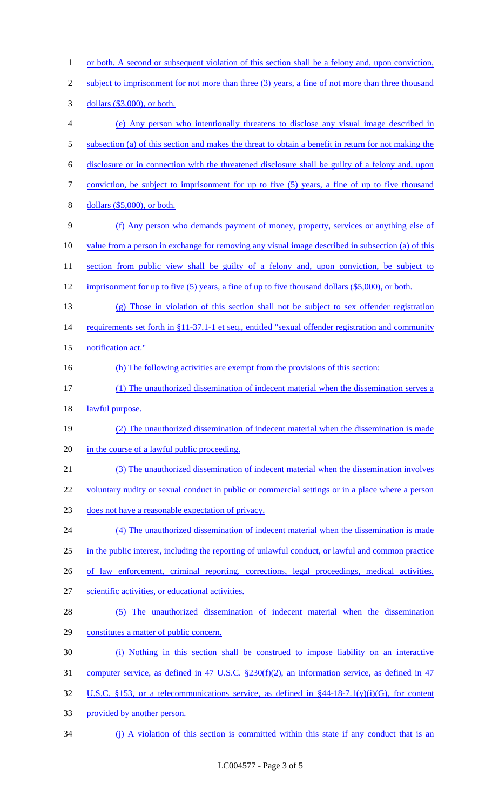1 or both. A second or subsequent violation of this section shall be a felony and, upon conviction, 2 subject to imprisonment for not more than three (3) years, a fine of not more than three thousand dollars (\$3,000), or both. (e) Any person who intentionally threatens to disclose any visual image described in 5 subsection (a) of this section and makes the threat to obtain a benefit in return for not making the disclosure or in connection with the threatened disclosure shall be guilty of a felony and, upon conviction, be subject to imprisonment for up to five (5) years, a fine of up to five thousand dollars (\$5,000), or both. (f) Any person who demands payment of money, property, services or anything else of value from a person in exchange for removing any visual image described in subsection (a) of this 11 section from public view shall be guilty of a felony and, upon conviction, be subject to 12 imprisonment for up to five (5) years, a fine of up to five thousand dollars (\$5,000), or both. (g) Those in violation of this section shall not be subject to sex offender registration 14 requirements set forth in §11-37.1-1 et seq., entitled "sexual offender registration and community 15 notification act." (h) The following activities are exempt from the provisions of this section: (1) The unauthorized dissemination of indecent material when the dissemination serves a 18 lawful purpose. (2) The unauthorized dissemination of indecent material when the dissemination is made 20 in the course of a lawful public proceeding. (3) The unauthorized dissemination of indecent material when the dissemination involves 22 voluntary nudity or sexual conduct in public or commercial settings or in a place where a person does not have a reasonable expectation of privacy. 24 (4) The unauthorized dissemination of indecent material when the dissemination is made in the public interest, including the reporting of unlawful conduct, or lawful and common practice 26 of law enforcement, criminal reporting, corrections, legal proceedings, medical activities, scientific activities, or educational activities. (5) The unauthorized dissemination of indecent material when the dissemination constitutes a matter of public concern. (i) Nothing in this section shall be construed to impose liability on an interactive computer service, as defined in 47 U.S.C. §230(f)(2), an information service, as defined in 47 U.S.C. §153, or a telecommunications service, as defined in §44-18-7.1(y)(i)(G), for content provided by another person. 34 (j) A violation of this section is committed within this state if any conduct that is an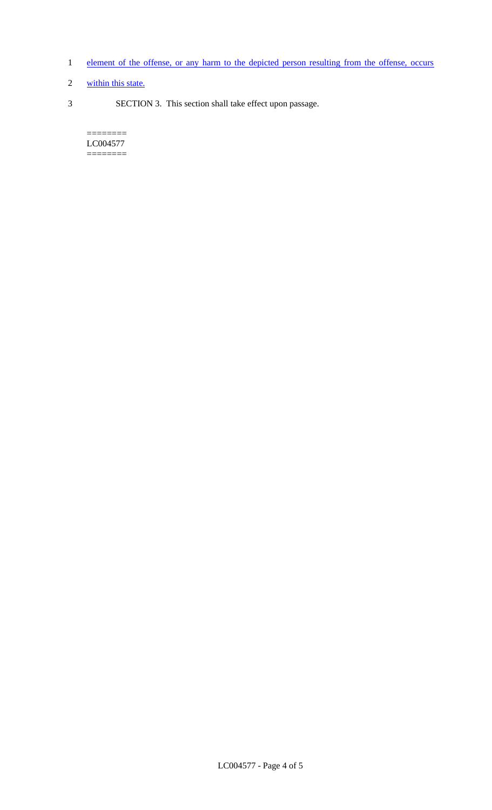- 1 element of the offense, or any harm to the depicted person resulting from the offense, occurs
- 2 within this state.
- 3 SECTION 3. This section shall take effect upon passage.

 $=$ LC004577 ========